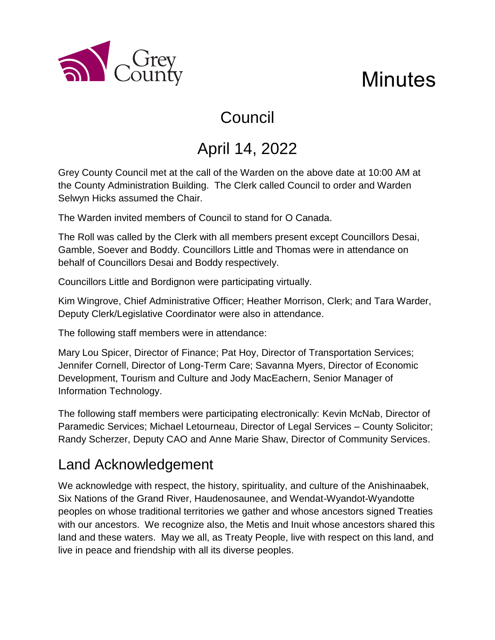

# **Minutes**

# Council

# April 14, 2022

Grey County Council met at the call of the Warden on the above date at 10:00 AM at the County Administration Building. The Clerk called Council to order and Warden Selwyn Hicks assumed the Chair.

The Warden invited members of Council to stand for O Canada.

The Roll was called by the Clerk with all members present except Councillors Desai, Gamble, Soever and Boddy. Councillors Little and Thomas were in attendance on behalf of Councillors Desai and Boddy respectively.

Councillors Little and Bordignon were participating virtually.

Kim Wingrove, Chief Administrative Officer; Heather Morrison, Clerk; and Tara Warder, Deputy Clerk/Legislative Coordinator were also in attendance.

The following staff members were in attendance:

Mary Lou Spicer, Director of Finance; Pat Hoy, Director of Transportation Services; Jennifer Cornell, Director of Long-Term Care; Savanna Myers, Director of Economic Development, Tourism and Culture and Jody MacEachern, Senior Manager of Information Technology.

The following staff members were participating electronically: Kevin McNab, Director of Paramedic Services; Michael Letourneau, Director of Legal Services – County Solicitor; Randy Scherzer, Deputy CAO and Anne Marie Shaw, Director of Community Services.

## Land Acknowledgement

We acknowledge with respect, the history, spirituality, and culture of the Anishinaabek, Six Nations of the Grand River, Haudenosaunee, and Wendat-Wyandot-Wyandotte peoples on whose traditional territories we gather and whose ancestors signed Treaties with our ancestors. We recognize also, the Metis and Inuit whose ancestors shared this land and these waters. May we all, as Treaty People, live with respect on this land, and live in peace and friendship with all its diverse peoples.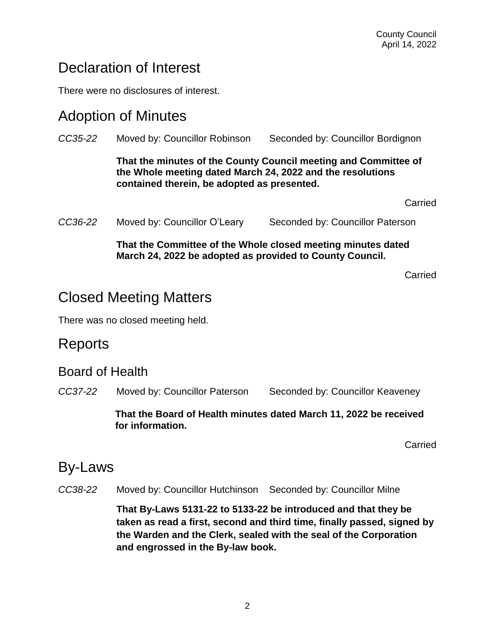### Declaration of Interest

There were no disclosures of interest.

#### Adoption of Minutes

|         | That the Committee of the Whole closed meeting minutes dated<br>March 24, 2022 be adopted as provided to County Council.                                                     |                                             |  |
|---------|------------------------------------------------------------------------------------------------------------------------------------------------------------------------------|---------------------------------------------|--|
| CC36-22 | Moved by: Councillor O'Leary                                                                                                                                                 | Carried<br>Seconded by: Councillor Paterson |  |
|         | That the minutes of the County Council meeting and Committee of<br>the Whole meeting dated March 24, 2022 and the resolutions<br>contained therein, be adopted as presented. |                                             |  |
| CC35-22 | Moved by: Councillor Robinson                                                                                                                                                | Seconded by: Councillor Bordignon           |  |

Carried

### Closed Meeting Matters

There was no closed meeting held.

#### Reports

#### Board of Health

*CC37-22* Moved by: Councillor Paterson Seconded by: Councillor Keaveney

**That the Board of Health minutes dated March 11, 2022 be received for information.** 

Carried

#### By-Laws

*CC38-22* Moved by: Councillor Hutchinson Seconded by: Councillor Milne

**That By-Laws 5131-22 to 5133-22 be introduced and that they be taken as read a first, second and third time, finally passed, signed by the Warden and the Clerk, sealed with the seal of the Corporation and engrossed in the By-law book.**